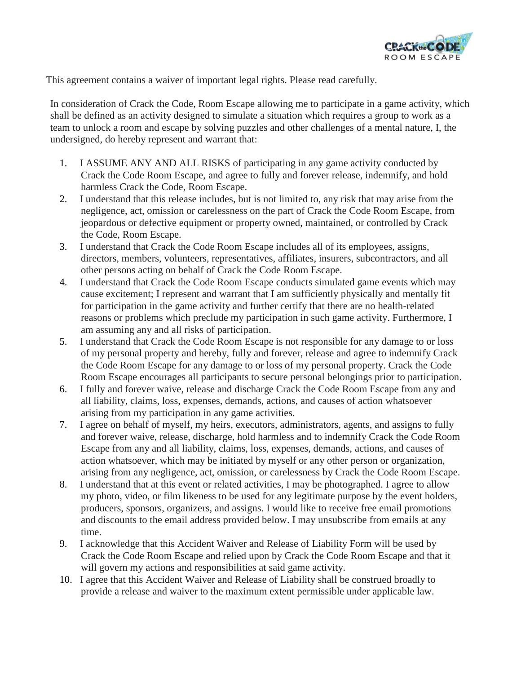

This agreement contains a waiver of important legal rights. Please read carefully.

In consideration of Crack the Code, Room Escape allowing me to participate in a game activity, which shall be defined as an activity designed to simulate a situation which requires a group to work as a team to unlock a room and escape by solving puzzles and other challenges of a mental nature, I, the undersigned, do hereby represent and warrant that:

- 1. I ASSUME ANY AND ALL RISKS of participating in any game activity conducted by Crack the Code Room Escape, and agree to fully and forever release, indemnify, and hold harmless Crack the Code, Room Escape.
- 2. I understand that this release includes, but is not limited to, any risk that may arise from the negligence, act, omission or carelessness on the part of Crack the Code Room Escape, from jeopardous or defective equipment or property owned, maintained, or controlled by Crack the Code, Room Escape.
- 3. I understand that Crack the Code Room Escape includes all of its employees, assigns, directors, members, volunteers, representatives, affiliates, insurers, subcontractors, and all other persons acting on behalf of Crack the Code Room Escape.
- 4. I understand that Crack the Code Room Escape conducts simulated game events which may cause excitement; I represent and warrant that I am sufficiently physically and mentally fit for participation in the game activity and further certify that there are no health-related reasons or problems which preclude my participation in such game activity. Furthermore, I am assuming any and all risks of participation.
- 5. I understand that Crack the Code Room Escape is not responsible for any damage to or loss of my personal property and hereby, fully and forever, release and agree to indemnify Crack the Code Room Escape for any damage to or loss of my personal property. Crack the Code Room Escape encourages all participants to secure personal belongings prior to participation.
- 6. I fully and forever waive, release and discharge Crack the Code Room Escape from any and all liability, claims, loss, expenses, demands, actions, and causes of action whatsoever arising from my participation in any game activities.
- 7. I agree on behalf of myself, my heirs, executors, administrators, agents, and assigns to fully and forever waive, release, discharge, hold harmless and to indemnify Crack the Code Room Escape from any and all liability, claims, loss, expenses, demands, actions, and causes of action whatsoever, which may be initiated by myself or any other person or organization, arising from any negligence, act, omission, or carelessness by Crack the Code Room Escape.
- 8. I understand that at this event or related activities, I may be photographed. I agree to allow my photo, video, or film likeness to be used for any legitimate purpose by the event holders, producers, sponsors, organizers, and assigns. I would like to receive free email promotions and discounts to the email address provided below. I may unsubscribe from emails at any time.
- 9. I acknowledge that this Accident Waiver and Release of Liability Form will be used by Crack the Code Room Escape and relied upon by Crack the Code Room Escape and that it will govern my actions and responsibilities at said game activity.
- 10. I agree that this Accident Waiver and Release of Liability shall be construed broadly to provide a release and waiver to the maximum extent permissible under applicable law.